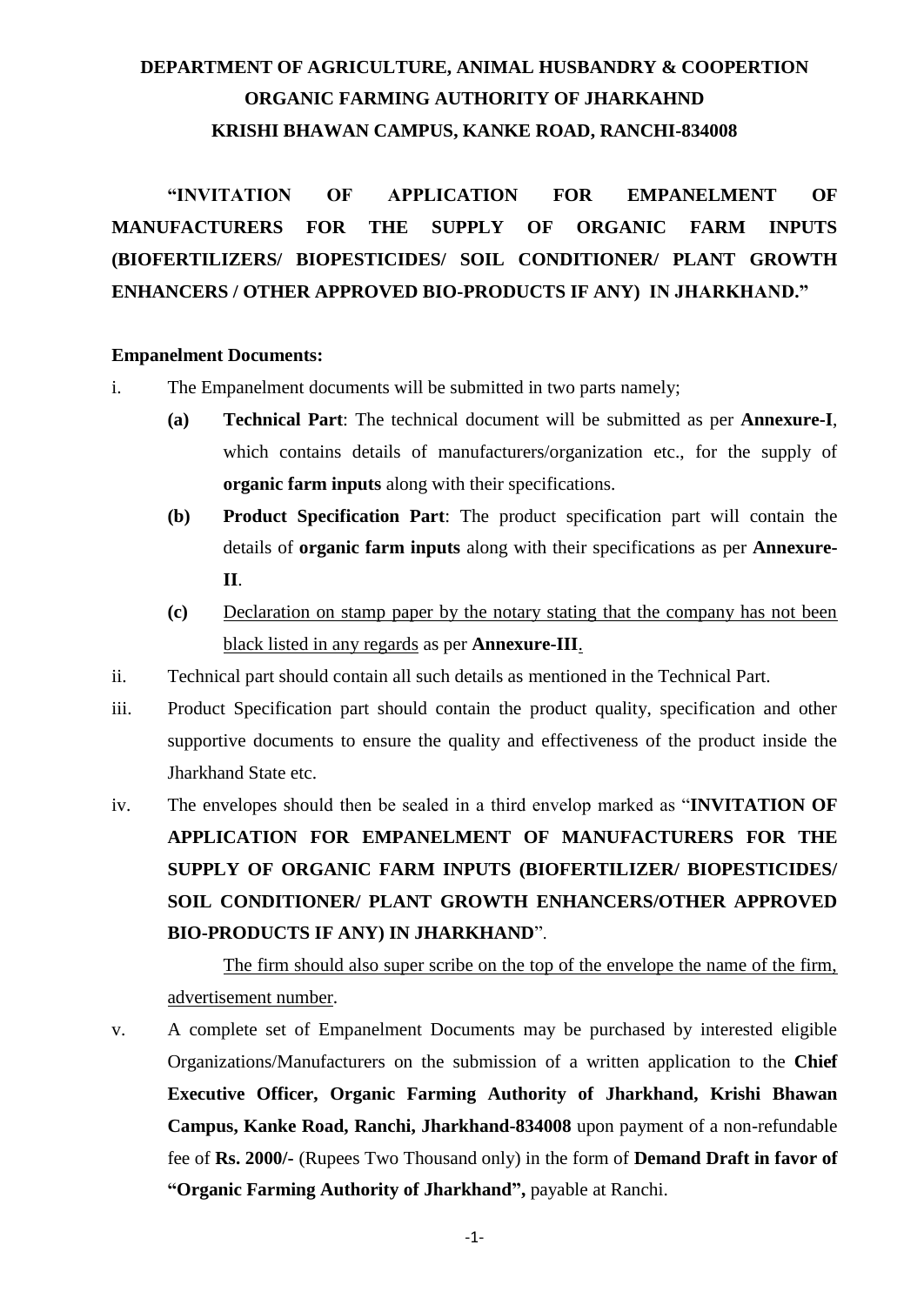# **DEPARTMENT OF AGRICULTURE, ANIMAL HUSBANDRY & COOPERTION ORGANIC FARMING AUTHORITY OF JHARKAHND KRISHI BHAWAN CAMPUS, KANKE ROAD, RANCHI-834008**

**"INVITATION OF APPLICATION FOR EMPANELMENT OF MANUFACTURERS FOR THE SUPPLY OF ORGANIC FARM INPUTS (BIOFERTILIZERS/ BIOPESTICIDES/ SOIL CONDITIONER/ PLANT GROWTH ENHANCERS / OTHER APPROVED BIO-PRODUCTS IF ANY) IN JHARKHAND."**

#### **Empanelment Documents:**

- i. The Empanelment documents will be submitted in two parts namely;
	- **(a) Technical Part**: The technical document will be submitted as per **Annexure-I**, which contains details of manufacturers/organization etc., for the supply of **organic farm inputs** along with their specifications.
	- **(b) Product Specification Part**: The product specification part will contain the details of **organic farm inputs** along with their specifications as per **Annexure-II**.
	- **(c)** Declaration on stamp paper by the notary stating that the company has not been black listed in any regards as per **Annexure-III**.
- ii. Technical part should contain all such details as mentioned in the Technical Part.
- iii. Product Specification part should contain the product quality, specification and other supportive documents to ensure the quality and effectiveness of the product inside the Jharkhand State etc.
- iv. The envelopes should then be sealed in a third envelop marked as "**INVITATION OF APPLICATION FOR EMPANELMENT OF MANUFACTURERS FOR THE SUPPLY OF ORGANIC FARM INPUTS (BIOFERTILIZER/ BIOPESTICIDES/ SOIL CONDITIONER/ PLANT GROWTH ENHANCERS/OTHER APPROVED BIO-PRODUCTS IF ANY) IN JHARKHAND**".

The firm should also super scribe on the top of the envelope the name of the firm, advertisement number.

v. A complete set of Empanelment Documents may be purchased by interested eligible Organizations/Manufacturers on the submission of a written application to the **Chief Executive Officer, Organic Farming Authority of Jharkhand, Krishi Bhawan Campus, Kanke Road, Ranchi, Jharkhand-834008** upon payment of a non-refundable fee of **Rs. 2000/-** (Rupees Two Thousand only) in the form of **Demand Draft in favor of "Organic Farming Authority of Jharkhand",** payable at Ranchi.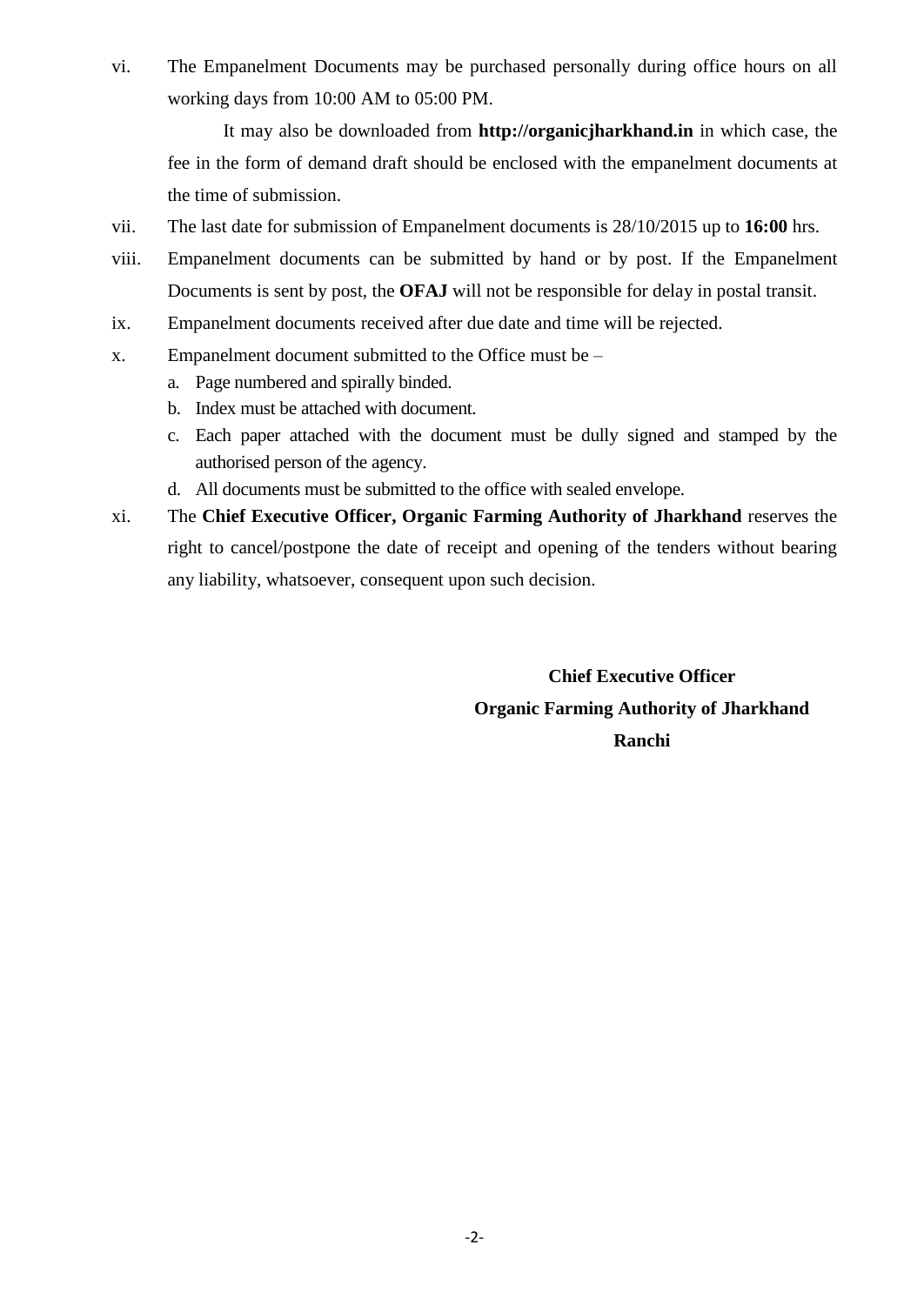vi. The Empanelment Documents may be purchased personally during office hours on all working days from 10:00 AM to 05:00 PM.

It may also be downloaded from **http://organicjharkhand.in** in which case, the fee in the form of demand draft should be enclosed with the empanelment documents at the time of submission.

- vii. The last date for submission of Empanelment documents is 28/10/2015 up to **16:00** hrs.
- viii. Empanelment documents can be submitted by hand or by post. If the Empanelment Documents is sent by post, the **OFAJ** will not be responsible for delay in postal transit.
- ix. Empanelment documents received after due date and time will be rejected.
- x. Empanelment document submitted to the Office must be
	- a. Page numbered and spirally binded.
	- b. Index must be attached with document.
	- c. Each paper attached with the document must be dully signed and stamped by the authorised person of the agency.
	- d. All documents must be submitted to the office with sealed envelope.
- xi. The **Chief Executive Officer, Organic Farming Authority of Jharkhand** reserves the right to cancel/postpone the date of receipt and opening of the tenders without bearing any liability, whatsoever, consequent upon such decision.

**Chief Executive Officer Organic Farming Authority of Jharkhand Ranchi**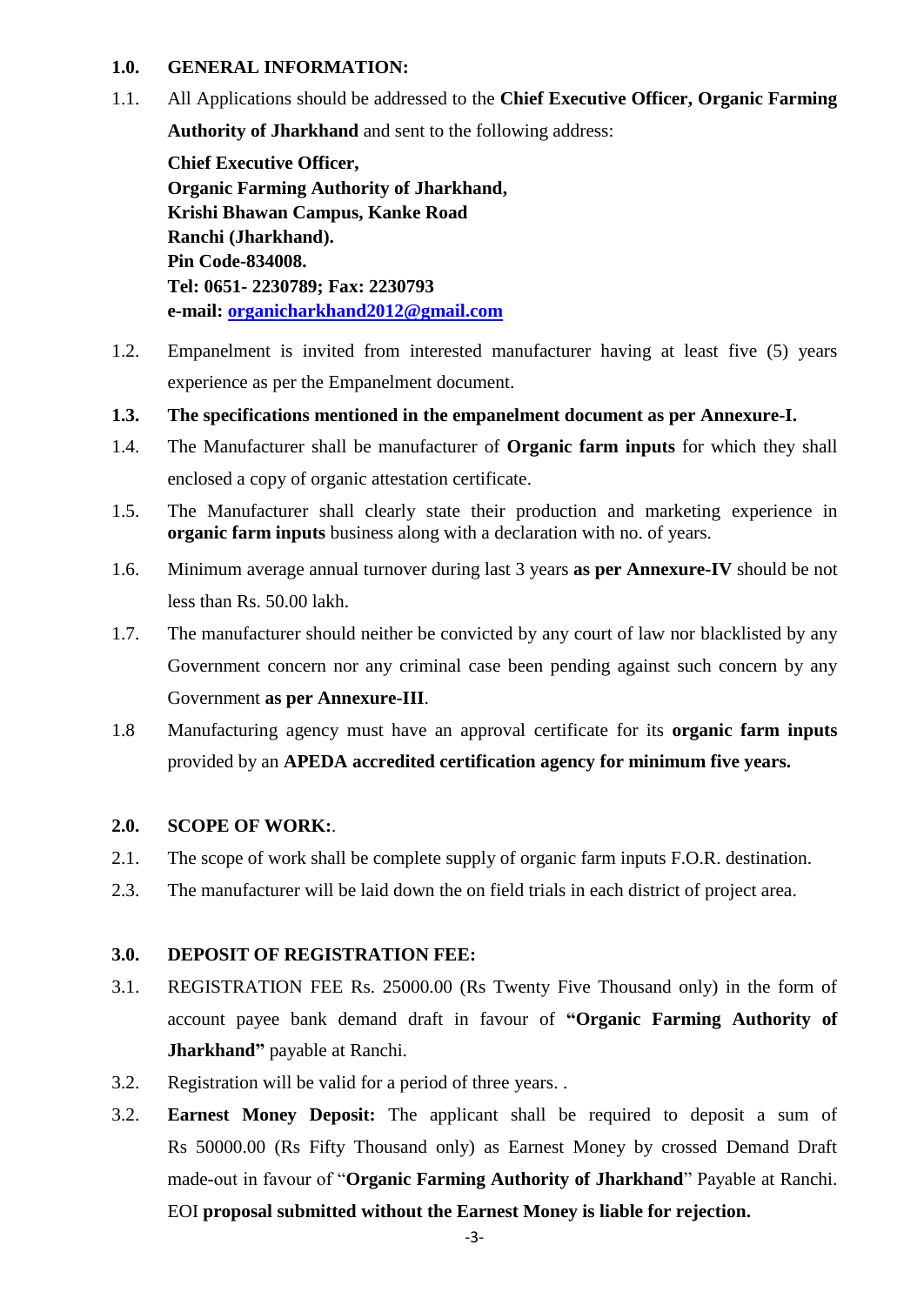#### **1.0. GENERAL INFORMATION:**

1.1. All Applications should be addressed to the **Chief Executive Officer, Organic Farming** 

**Authority of Jharkhand** and sent to the following address:

**Chief Executive Officer, Organic Farming Authority of Jharkhand, Krishi Bhawan Campus, Kanke Road Ranchi (Jharkhand). Pin Code-834008. Tel: 0651- 2230789; Fax: 2230793 e-mail: [organicharkhand2012@gmail.com](mailto:organicharkhand2012@gmail.com)**

- 1.2. Empanelment is invited from interested manufacturer having at least five (5) years experience as per the Empanelment document.
- **1.3. The specifications mentioned in the empanelment document as per Annexure-I.**
- 1.4. The Manufacturer shall be manufacturer of **Organic farm inputs** for which they shall enclosed a copy of organic attestation certificate.
- 1.5. The Manufacturer shall clearly state their production and marketing experience in **organic farm inputs** business along with a declaration with no. of years.
- 1.6. Minimum average annual turnover during last 3 years **as per Annexure-IV** should be not less than Rs. 50.00 lakh.
- 1.7. The manufacturer should neither be convicted by any court of law nor blacklisted by any Government concern nor any criminal case been pending against such concern by any Government **as per Annexure-III**.
- 1.8 Manufacturing agency must have an approval certificate for its **organic farm inputs** provided by an **APEDA accredited certification agency for minimum five years.**

# **2.0. SCOPE OF WORK:**.

- 2.1. The scope of work shall be complete supply of organic farm inputs F.O.R. destination.
- 2.3. The manufacturer will be laid down the on field trials in each district of project area.

# **3.0. DEPOSIT OF REGISTRATION FEE:**

- 3.1. REGISTRATION FEE Rs. 25000.00 (Rs Twenty Five Thousand only) in the form of account payee bank demand draft in favour of **"Organic Farming Authority of Jharkhand"** payable at Ranchi.
- 3.2. Registration will be valid for a period of three years. .
- 3.2. **Earnest Money Deposit:** The applicant shall be required to deposit a sum of Rs 50000.00 (Rs Fifty Thousand only) as Earnest Money by crossed Demand Draft made-out in favour of "**Organic Farming Authority of Jharkhand**" Payable at Ranchi. EOI **proposal submitted without the Earnest Money is liable for rejection.**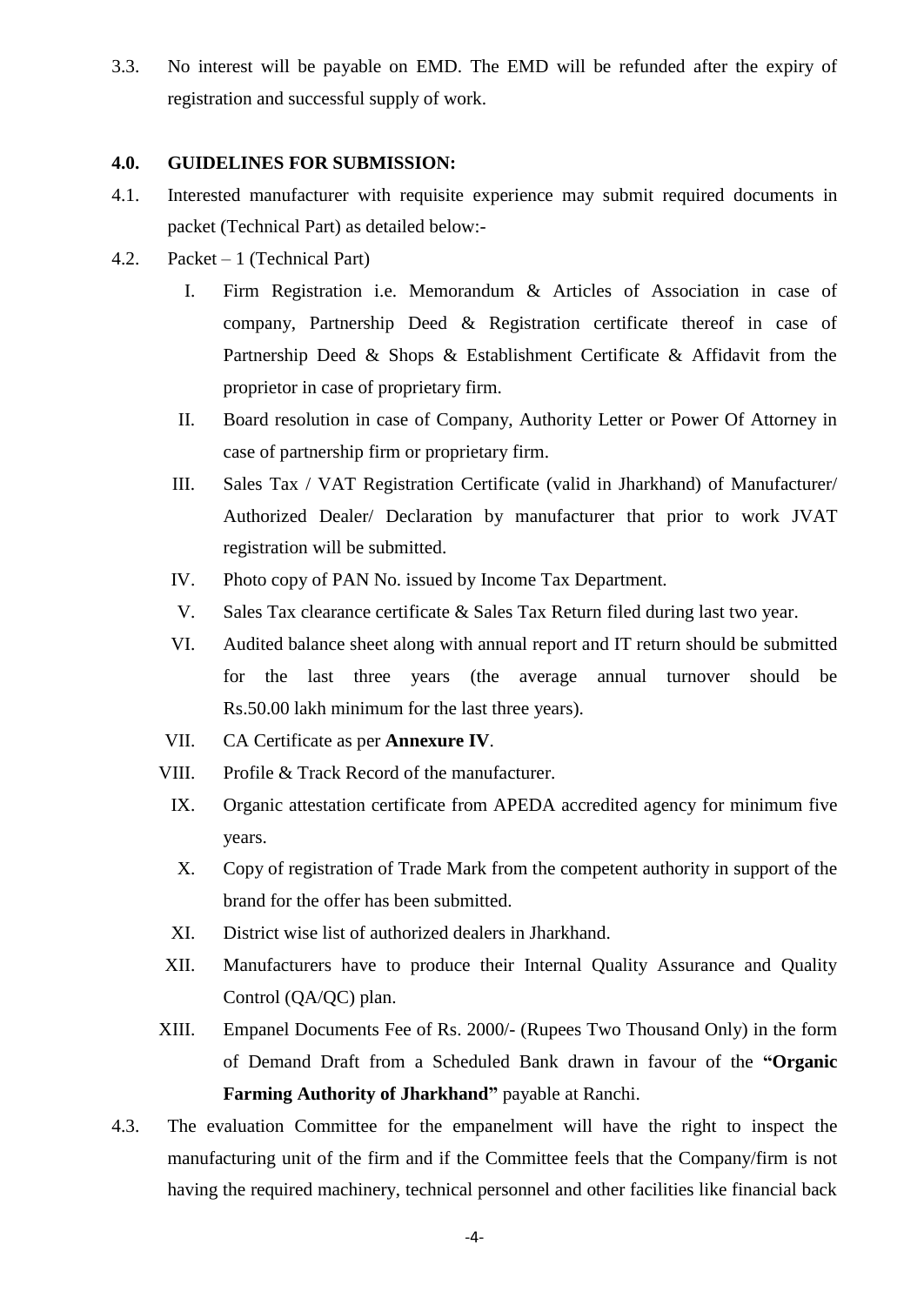3.3. No interest will be payable on EMD. The EMD will be refunded after the expiry of registration and successful supply of work.

## **4.0. GUIDELINES FOR SUBMISSION:**

- 4.1. Interested manufacturer with requisite experience may submit required documents in packet (Technical Part) as detailed below:-
- 4.2. Packet 1 (Technical Part)
	- I. Firm Registration i.e. Memorandum & Articles of Association in case of company, Partnership Deed & Registration certificate thereof in case of Partnership Deed & Shops & Establishment Certificate & Affidavit from the proprietor in case of proprietary firm.
	- II. Board resolution in case of Company, Authority Letter or Power Of Attorney in case of partnership firm or proprietary firm.
	- III. Sales Tax / VAT Registration Certificate (valid in Jharkhand) of Manufacturer/ Authorized Dealer/ Declaration by manufacturer that prior to work JVAT registration will be submitted.
	- IV. Photo copy of PAN No. issued by Income Tax Department.
	- V. Sales Tax clearance certificate & Sales Tax Return filed during last two year.
	- VI. Audited balance sheet along with annual report and IT return should be submitted for the last three years (the average annual turnover should be Rs.50.00 lakh minimum for the last three years).
	- VII. CA Certificate as per **Annexure IV**.
	- VIII. Profile & Track Record of the manufacturer.
	- IX. Organic attestation certificate from APEDA accredited agency for minimum five years.
	- X. Copy of registration of Trade Mark from the competent authority in support of the brand for the offer has been submitted.
	- XI. District wise list of authorized dealers in Jharkhand.
	- XII. Manufacturers have to produce their Internal Quality Assurance and Quality Control (QA/QC) plan.
	- XIII. Empanel Documents Fee of Rs. 2000/- (Rupees Two Thousand Only) in the form of Demand Draft from a Scheduled Bank drawn in favour of the **"Organic Farming Authority of Jharkhand"** payable at Ranchi.
- 4.3. The evaluation Committee for the empanelment will have the right to inspect the manufacturing unit of the firm and if the Committee feels that the Company/firm is not having the required machinery, technical personnel and other facilities like financial back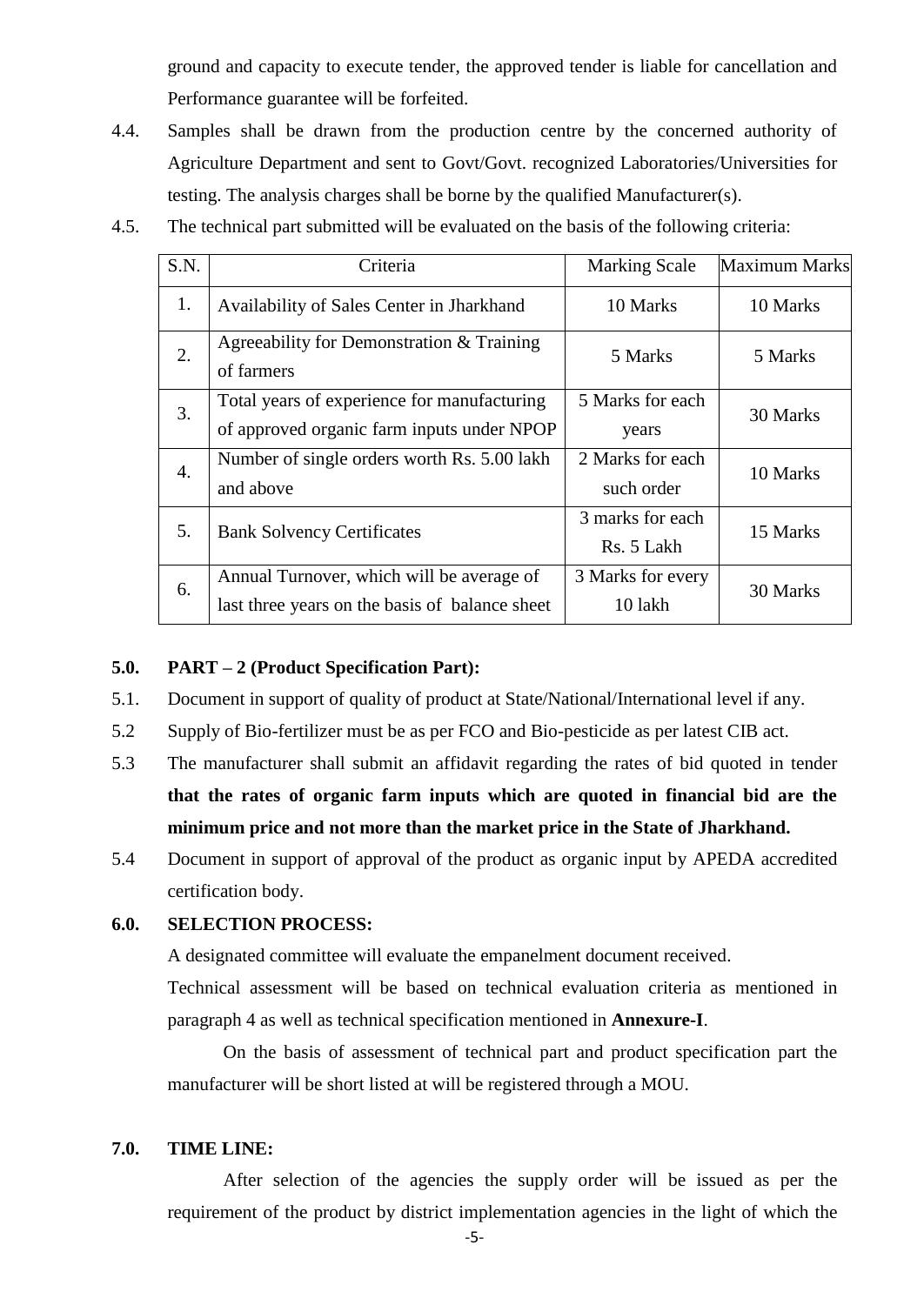ground and capacity to execute tender, the approved tender is liable for cancellation and Performance guarantee will be forfeited.

- 4.4. Samples shall be drawn from the production centre by the concerned authority of Agriculture Department and sent to Govt/Govt. recognized Laboratories/Universities for testing. The analysis charges shall be borne by the qualified Manufacturer(s).
- 4.5. The technical part submitted will be evaluated on the basis of the following criteria:

| S.N.             | Criteria                                                | <b>Marking Scale</b> | <b>Maximum Marks</b> |  |
|------------------|---------------------------------------------------------|----------------------|----------------------|--|
| 1.               | Availability of Sales Center in Jharkhand               | 10 Marks             | 10 Marks             |  |
| 2.               | Agreeability for Demonstration & Training<br>of farmers | 5 Marks              | 5 Marks              |  |
| 3.               | Total years of experience for manufacturing             | 5 Marks for each     | 30 Marks             |  |
|                  | of approved organic farm inputs under NPOP              | years                |                      |  |
| $\overline{4}$ . | Number of single orders worth Rs. 5.00 lakh             | 2 Marks for each     | 10 Marks             |  |
|                  | and above                                               | such order           |                      |  |
| 5.               | <b>Bank Solvency Certificates</b>                       | 3 marks for each     | 15 Marks             |  |
|                  |                                                         | Rs. 5 Lakh           |                      |  |
| 6.               | Annual Turnover, which will be average of               | 3 Marks for every    | 30 Marks             |  |
|                  | last three years on the basis of balance sheet          | 10 lakh              |                      |  |

#### **5.0. PART – 2 (Product Specification Part):**

- 5.1. Document in support of quality of product at State/National/International level if any.
- 5.2 Supply of Bio-fertilizer must be as per FCO and Bio-pesticide as per latest CIB act.
- 5.3 The manufacturer shall submit an affidavit regarding the rates of bid quoted in tender **that the rates of organic farm inputs which are quoted in financial bid are the minimum price and not more than the market price in the State of Jharkhand.**
- 5.4 Document in support of approval of the product as organic input by APEDA accredited certification body.

#### **6.0. SELECTION PROCESS:**

A designated committee will evaluate the empanelment document received.

Technical assessment will be based on technical evaluation criteria as mentioned in paragraph 4 as well as technical specification mentioned in **Annexure-I**.

On the basis of assessment of technical part and product specification part the manufacturer will be short listed at will be registered through a MOU.

#### **7.0. TIME LINE:**

After selection of the agencies the supply order will be issued as per the requirement of the product by district implementation agencies in the light of which the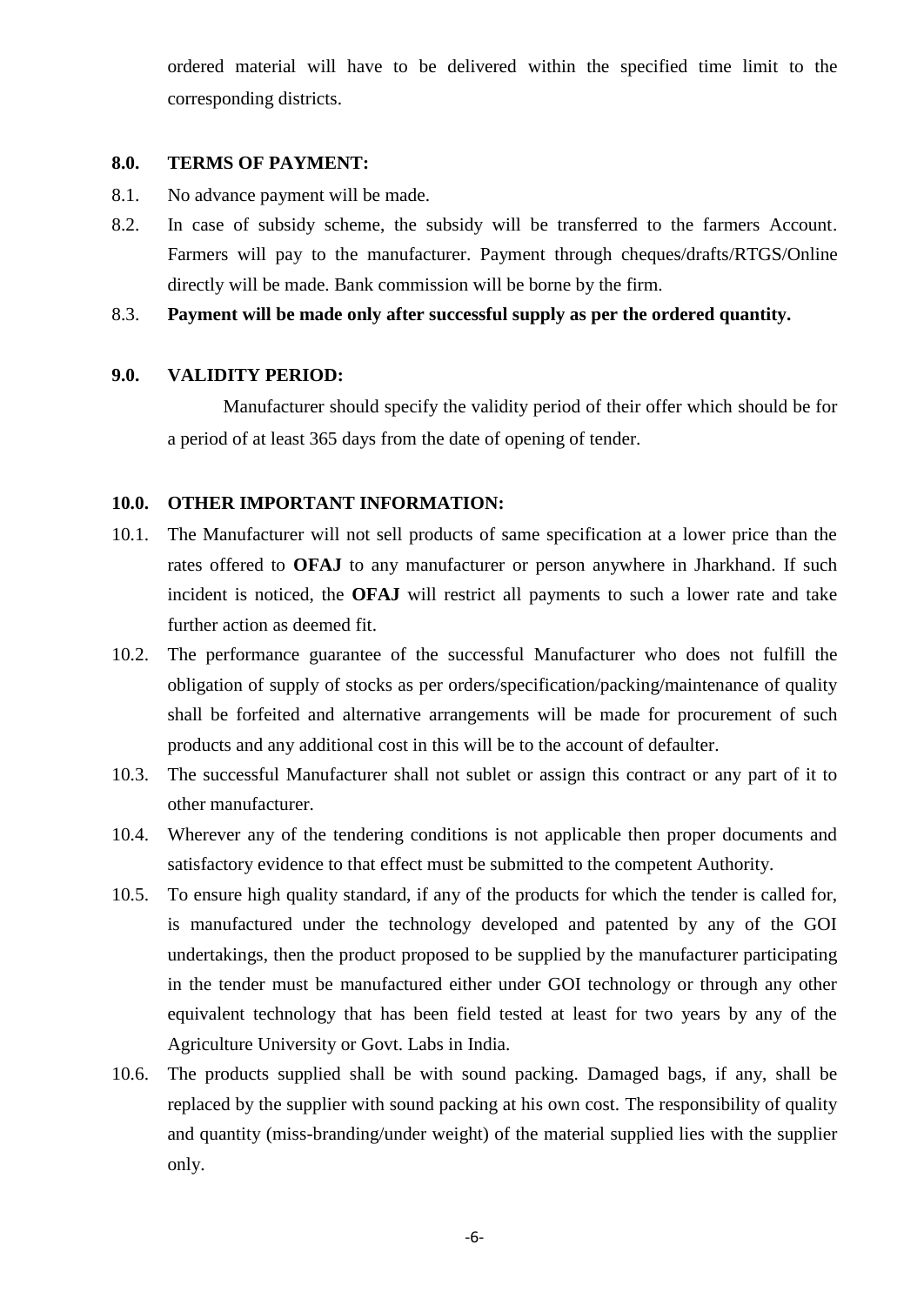ordered material will have to be delivered within the specified time limit to the corresponding districts.

# **8.0. TERMS OF PAYMENT:**

- 8.1. No advance payment will be made.
- 8.2. In case of subsidy scheme, the subsidy will be transferred to the farmers Account. Farmers will pay to the manufacturer. Payment through cheques/drafts/RTGS/Online directly will be made. Bank commission will be borne by the firm.
- 8.3. **Payment will be made only after successful supply as per the ordered quantity.**

#### **9.0. VALIDITY PERIOD:**

Manufacturer should specify the validity period of their offer which should be for a period of at least 365 days from the date of opening of tender.

## **10.0. OTHER IMPORTANT INFORMATION:**

- 10.1. The Manufacturer will not sell products of same specification at a lower price than the rates offered to **OFAJ** to any manufacturer or person anywhere in Jharkhand. If such incident is noticed, the **OFAJ** will restrict all payments to such a lower rate and take further action as deemed fit.
- 10.2. The performance guarantee of the successful Manufacturer who does not fulfill the obligation of supply of stocks as per orders/specification/packing/maintenance of quality shall be forfeited and alternative arrangements will be made for procurement of such products and any additional cost in this will be to the account of defaulter.
- 10.3. The successful Manufacturer shall not sublet or assign this contract or any part of it to other manufacturer.
- 10.4. Wherever any of the tendering conditions is not applicable then proper documents and satisfactory evidence to that effect must be submitted to the competent Authority.
- 10.5. To ensure high quality standard, if any of the products for which the tender is called for, is manufactured under the technology developed and patented by any of the GOI undertakings, then the product proposed to be supplied by the manufacturer participating in the tender must be manufactured either under GOI technology or through any other equivalent technology that has been field tested at least for two years by any of the Agriculture University or Govt. Labs in India.
- 10.6. The products supplied shall be with sound packing. Damaged bags, if any, shall be replaced by the supplier with sound packing at his own cost. The responsibility of quality and quantity (miss-branding/under weight) of the material supplied lies with the supplier only.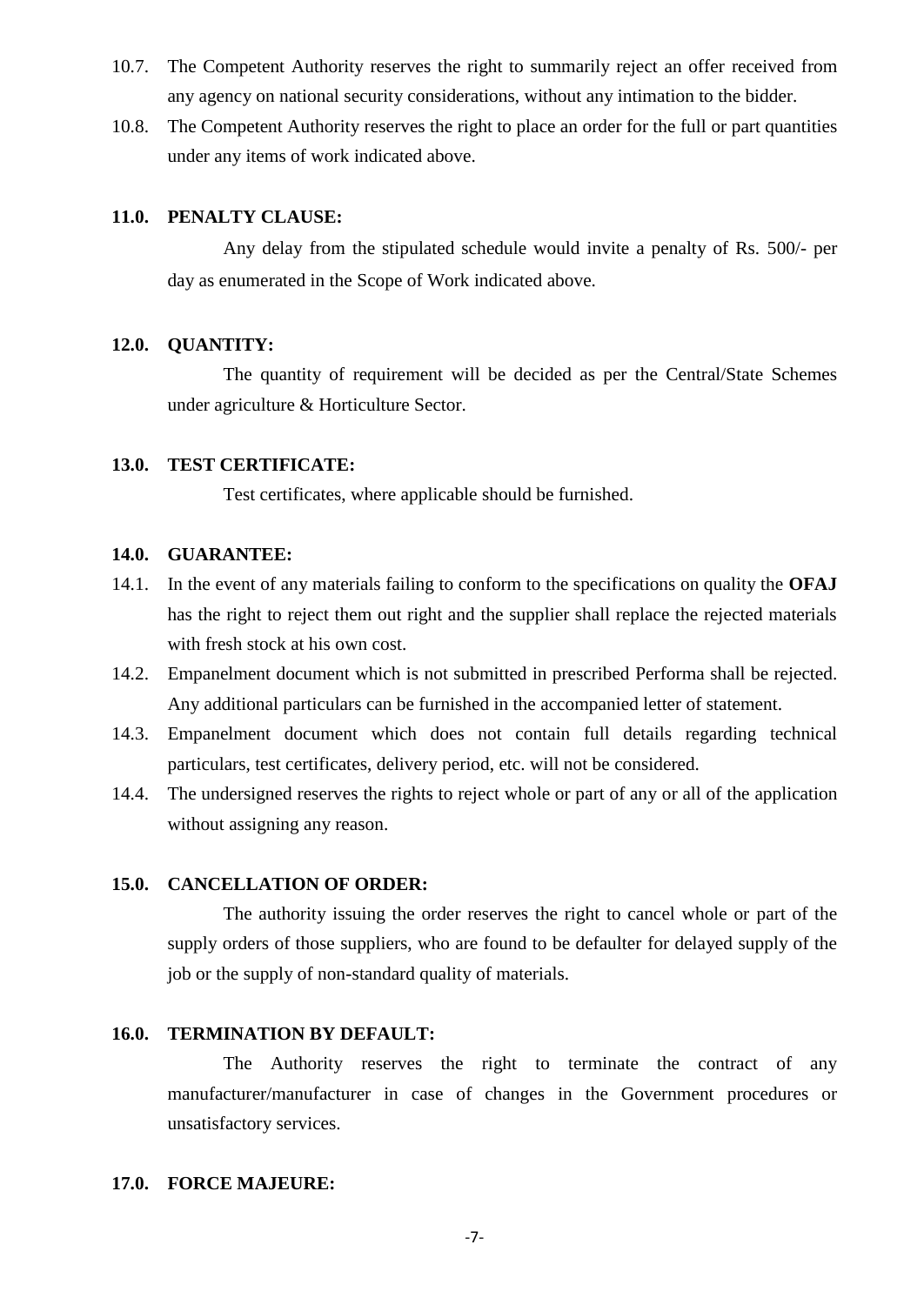- 10.7. The Competent Authority reserves the right to summarily reject an offer received from any agency on national security considerations, without any intimation to the bidder.
- 10.8. The Competent Authority reserves the right to place an order for the full or part quantities under any items of work indicated above.

## **11.0. PENALTY CLAUSE:**

Any delay from the stipulated schedule would invite a penalty of Rs. 500/- per day as enumerated in the Scope of Work indicated above.

#### **12.0. QUANTITY:**

The quantity of requirement will be decided as per the Central/State Schemes under agriculture & Horticulture Sector.

#### **13.0. TEST CERTIFICATE:**

Test certificates, where applicable should be furnished.

#### **14.0. GUARANTEE:**

- 14.1. In the event of any materials failing to conform to the specifications on quality the **OFAJ** has the right to reject them out right and the supplier shall replace the rejected materials with fresh stock at his own cost.
- 14.2. Empanelment document which is not submitted in prescribed Performa shall be rejected. Any additional particulars can be furnished in the accompanied letter of statement.
- 14.3. Empanelment document which does not contain full details regarding technical particulars, test certificates, delivery period, etc. will not be considered.
- 14.4. The undersigned reserves the rights to reject whole or part of any or all of the application without assigning any reason.

#### **15.0. CANCELLATION OF ORDER:**

The authority issuing the order reserves the right to cancel whole or part of the supply orders of those suppliers, who are found to be defaulter for delayed supply of the job or the supply of non-standard quality of materials.

#### **16.0. TERMINATION BY DEFAULT:**

The Authority reserves the right to terminate the contract of any manufacturer/manufacturer in case of changes in the Government procedures or unsatisfactory services.

#### **17.0. FORCE MAJEURE:**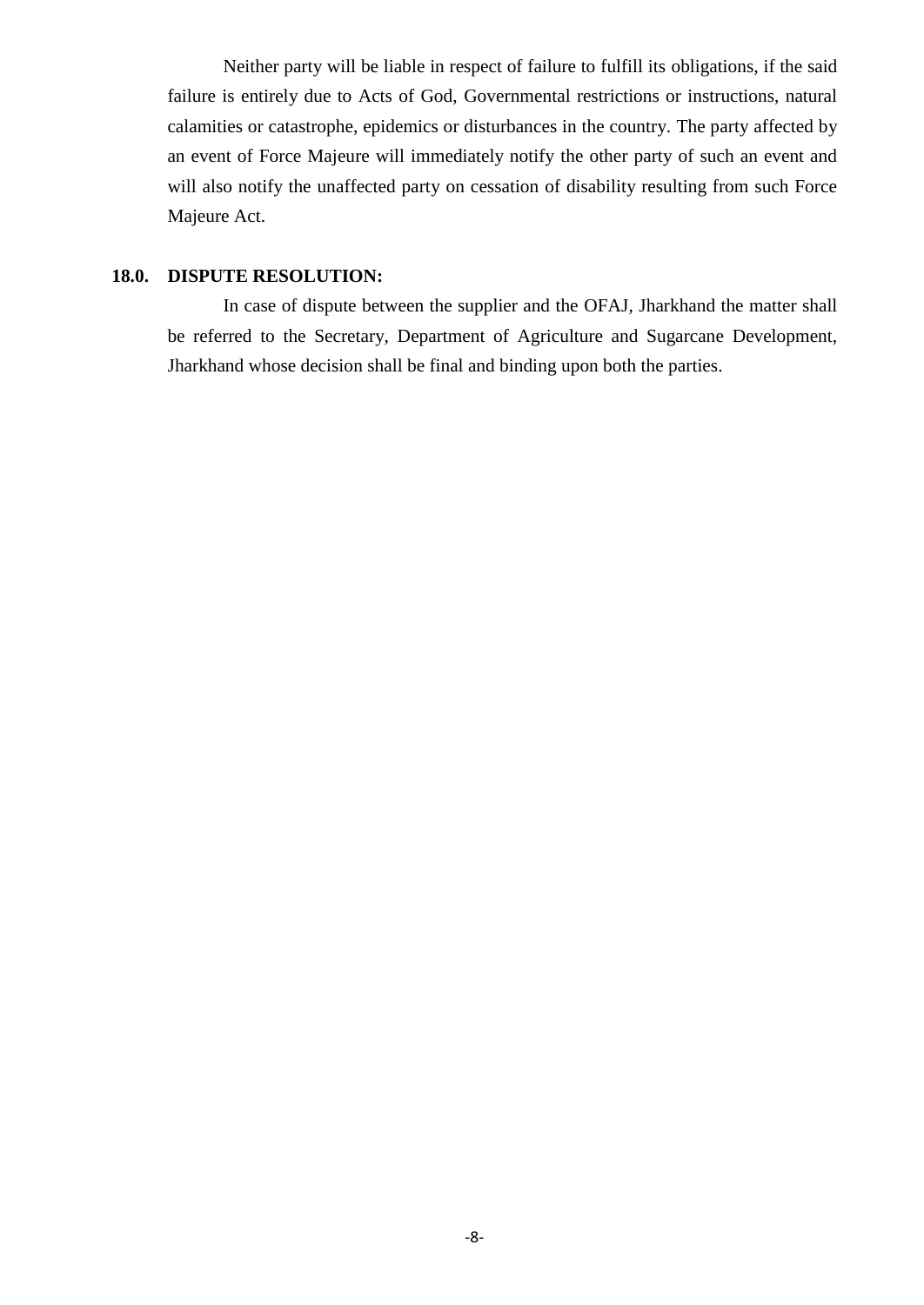Neither party will be liable in respect of failure to fulfill its obligations, if the said failure is entirely due to Acts of God, Governmental restrictions or instructions, natural calamities or catastrophe, epidemics or disturbances in the country. The party affected by an event of Force Majeure will immediately notify the other party of such an event and will also notify the unaffected party on cessation of disability resulting from such Force Majeure Act.

#### **18.0. DISPUTE RESOLUTION:**

In case of dispute between the supplier and the OFAJ, Jharkhand the matter shall be referred to the Secretary, Department of Agriculture and Sugarcane Development, Jharkhand whose decision shall be final and binding upon both the parties.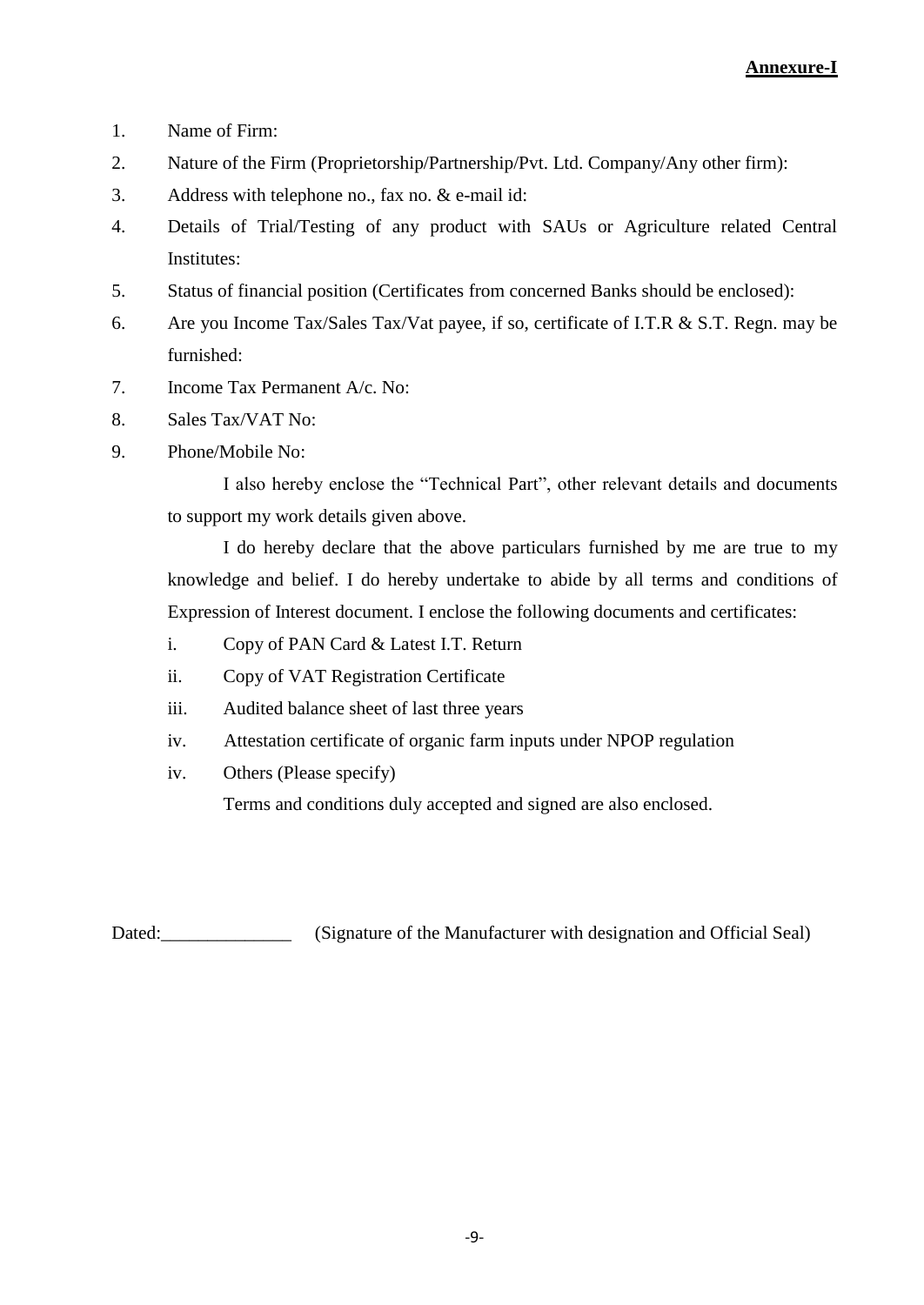- 1. Name of Firm:
- 2. Nature of the Firm (Proprietorship/Partnership/Pvt. Ltd. Company/Any other firm):
- 3. Address with telephone no., fax no. & e-mail id:
- 4. Details of Trial/Testing of any product with SAUs or Agriculture related Central Institutes:
- 5. Status of financial position (Certificates from concerned Banks should be enclosed):
- 6. Are you Income Tax/Sales Tax/Vat payee, if so, certificate of I.T.R & S.T. Regn. may be furnished:
- 7. Income Tax Permanent A/c. No:
- 8. Sales Tax/VAT No:
- 9. Phone/Mobile No:

I also hereby enclose the "Technical Part", other relevant details and documents to support my work details given above.

I do hereby declare that the above particulars furnished by me are true to my knowledge and belief. I do hereby undertake to abide by all terms and conditions of Expression of Interest document. I enclose the following documents and certificates:

- i. Copy of PAN Card & Latest I.T. Return
- ii. Copy of VAT Registration Certificate
- iii. Audited balance sheet of last three years
- iv. Attestation certificate of organic farm inputs under NPOP regulation
- iv. Others (Please specify)

Terms and conditions duly accepted and signed are also enclosed.

Dated: (Signature of the Manufacturer with designation and Official Seal)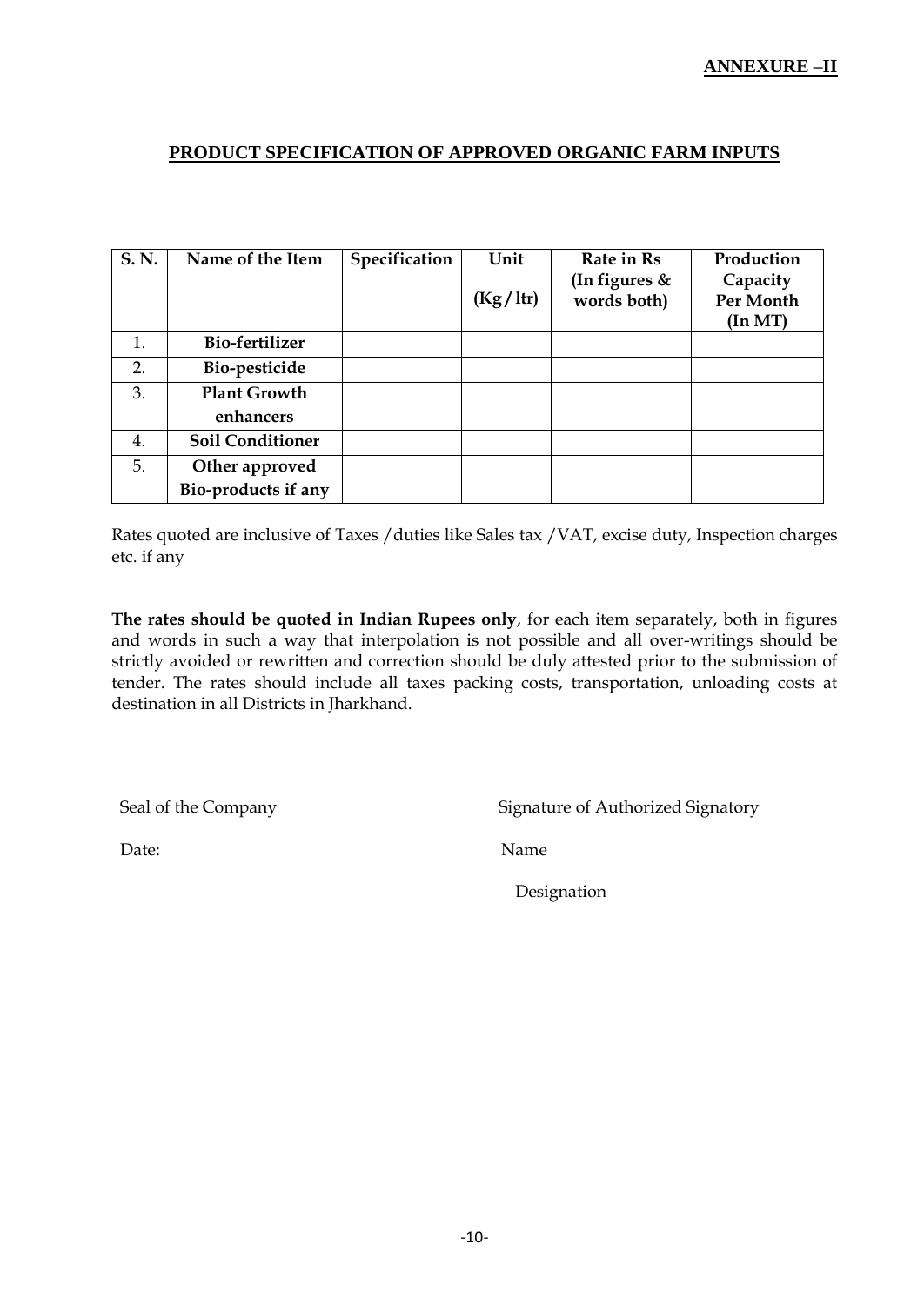# **PRODUCT SPECIFICATION OF APPROVED ORGANIC FARM INPUTS**

| S.N. | Name of the Item        | Specification | Unit     | Rate in Rs                     | Production            |
|------|-------------------------|---------------|----------|--------------------------------|-----------------------|
|      |                         |               | (Kg/ltr) | (In figures $&$<br>words both) | Capacity<br>Per Month |
|      |                         |               |          |                                | $($ In MT $)$         |
| 1.   | Bio-fertilizer          |               |          |                                |                       |
| 2.   | Bio-pesticide           |               |          |                                |                       |
| 3.   | <b>Plant Growth</b>     |               |          |                                |                       |
|      | enhancers               |               |          |                                |                       |
| 4.   | <b>Soil Conditioner</b> |               |          |                                |                       |
| 5.   | Other approved          |               |          |                                |                       |
|      | Bio-products if any     |               |          |                                |                       |

Rates quoted are inclusive of Taxes /duties like Sales tax /VAT, excise duty, Inspection charges etc. if any

**The rates should be quoted in Indian Rupees only**, for each item separately, both in figures and words in such a way that interpolation is not possible and all over-writings should be strictly avoided or rewritten and correction should be duly attested prior to the submission of tender. The rates should include all taxes packing costs, transportation, unloading costs at destination in all Districts in Jharkhand.

Seal of the Company Signature of Authorized Signatory

Date: Name

Designation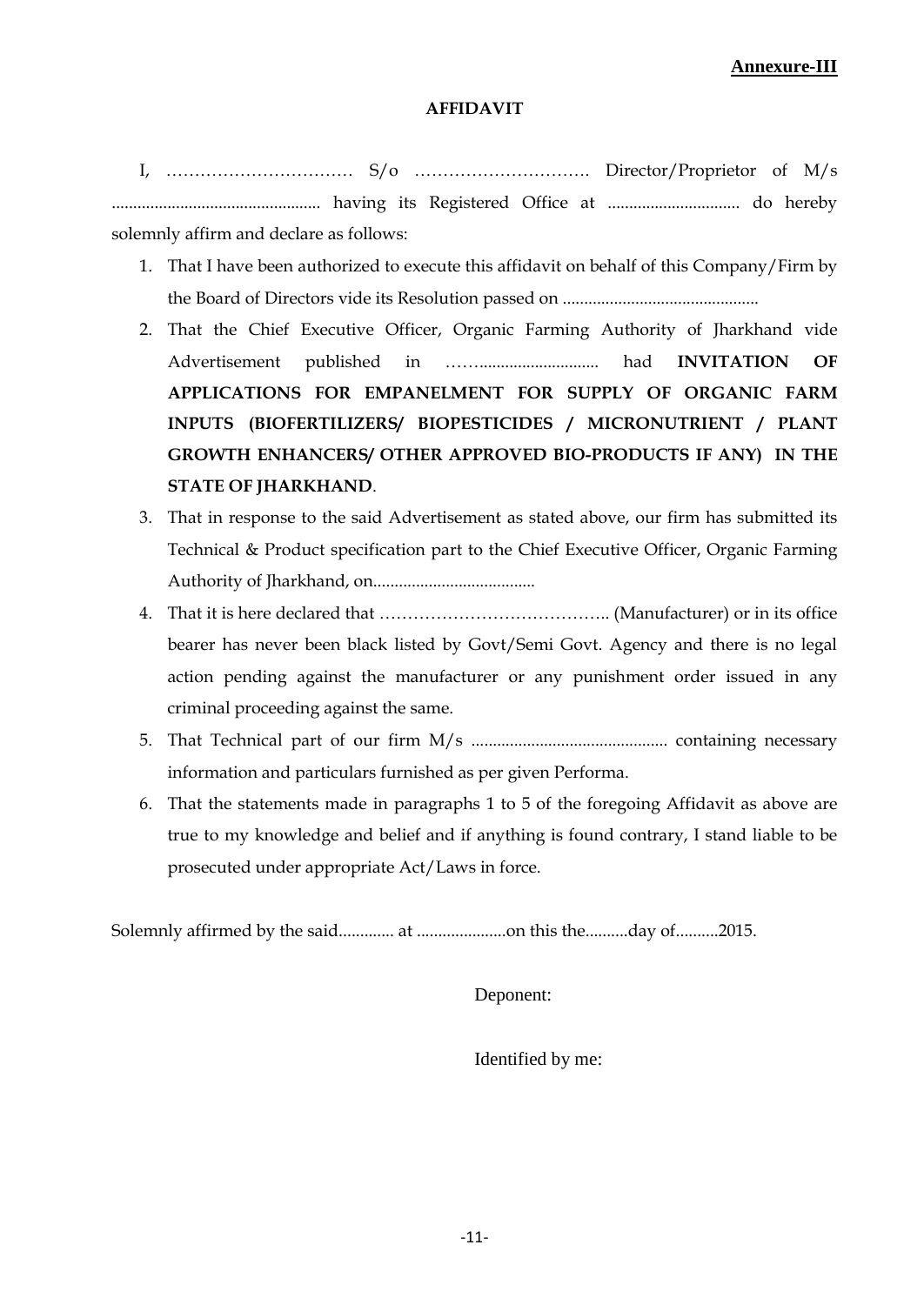#### **AFFIDAVIT**

I, …………………………… S/o …………………………. Director/Proprietor of M/s ................................................. having its Registered Office at ............................... do hereby solemnly affirm and declare as follows:

- 1. That I have been authorized to execute this affidavit on behalf of this Company/Firm by the Board of Directors vide its Resolution passed on ..............................................
- 2. That the Chief Executive Officer, Organic Farming Authority of Jharkhand vide Advertisement published in ……............................ had **INVITATION OF APPLICATIONS FOR EMPANELMENT FOR SUPPLY OF ORGANIC FARM INPUTS (BIOFERTILIZERS/ BIOPESTICIDES / MICRONUTRIENT / PLANT GROWTH ENHANCERS/ OTHER APPROVED BIO-PRODUCTS IF ANY) IN THE STATE OF JHARKHAND**.
- 3. That in response to the said Advertisement as stated above, our firm has submitted its Technical & Product specification part to the Chief Executive Officer, Organic Farming Authority of Jharkhand, on......................................
- 4. That it is here declared that ………………………………….. (Manufacturer) or in its office bearer has never been black listed by Govt/Semi Govt. Agency and there is no legal action pending against the manufacturer or any punishment order issued in any criminal proceeding against the same.
- 5. That Technical part of our firm M/s .............................................. containing necessary information and particulars furnished as per given Performa.
- 6. That the statements made in paragraphs 1 to 5 of the foregoing Affidavit as above are true to my knowledge and belief and if anything is found contrary, I stand liable to be prosecuted under appropriate Act/Laws in force.

Solemnly affirmed by the said............. at .....................on this the..........day of..........2015.

Deponent:

Identified by me: